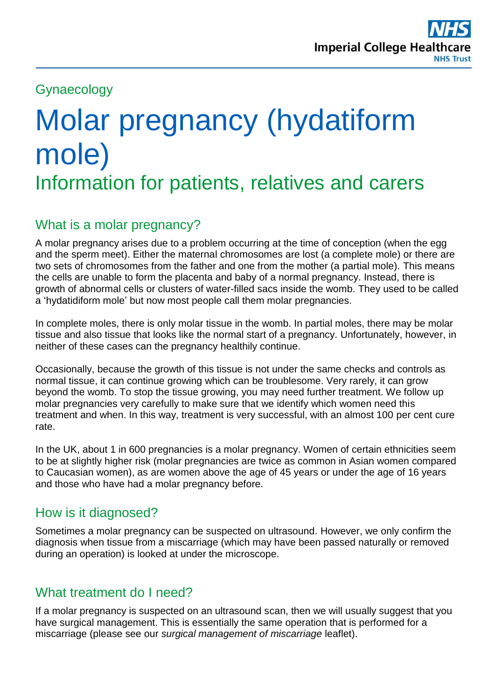# Gynaecology

# Molar pregnancy (hydatiform mole) Information for patients, relatives and carers

# What is a molar pregnancy?

A molar pregnancy arises due to a problem occurring at the time of conception (when the egg and the sperm meet). Either the maternal chromosomes are lost (a complete mole) or there are two sets of chromosomes from the father and one from the mother (a partial mole). This means the cells are unable to form the placenta and baby of a normal pregnancy. Instead, there is growth of abnormal cells or clusters of water-filled sacs inside the womb. They used to be called a 'hydatidiform mole' but now most people call them molar pregnancies.

In complete moles, there is only molar tissue in the womb. In partial moles, there may be molar tissue and also tissue that looks like the normal start of a pregnancy. Unfortunately, however, in neither of these cases can the pregnancy healthily continue.

Occasionally, because the growth of this tissue is not under the same checks and controls as normal tissue, it can continue growing which can be troublesome. Very rarely, it can grow beyond the womb. To stop the tissue growing, you may need further treatment. We follow up molar pregnancies very carefully to make sure that we identify which women need this treatment and when. In this way, treatment is very successful, with an almost 100 per cent cure rate.

In the UK, about 1 in 600 pregnancies is a molar pregnancy. Women of certain ethnicities seem to be at slightly higher risk (molar pregnancies are twice as common in Asian women compared to Caucasian women), as are women above the age of 45 years or under the age of 16 years and those who have had a molar pregnancy before.

## How is it diagnosed?

Sometimes a molar pregnancy can be suspected on ultrasound. However, we only confirm the diagnosis when tissue from a miscarriage (which may have been passed naturally or removed during an operation) is looked at under the microscope.

## What treatment do I need?

If a molar pregnancy is suspected on an ultrasound scan, then we will usually suggest that you have surgical management. This is essentially the same operation that is performed for a miscarriage (please see our *surgical management of miscarriage* leaflet).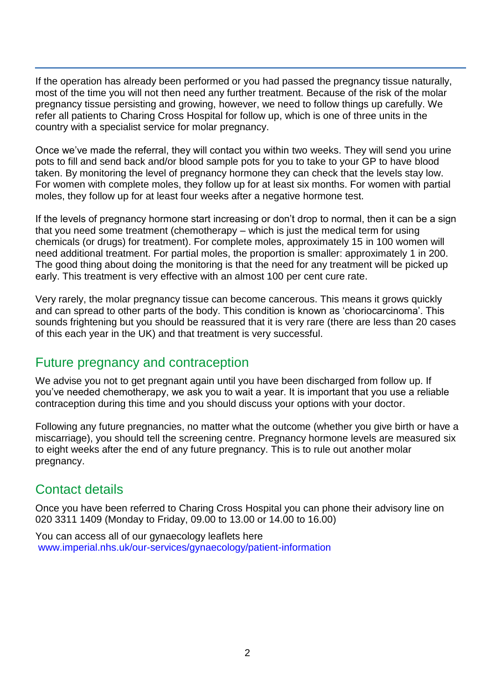If the operation has already been performed or you had passed the pregnancy tissue naturally, most of the time you will not then need any further treatment. Because of the risk of the molar pregnancy tissue persisting and growing, however, we need to follow things up carefully. We refer all patients to Charing Cross Hospital for follow up, which is one of three units in the country with a specialist service for molar pregnancy.

Once we've made the referral, they will contact you within two weeks. They will send you urine pots to fill and send back and/or blood sample pots for you to take to your GP to have blood taken. By monitoring the level of pregnancy hormone they can check that the levels stay low. For women with complete moles, they follow up for at least six months. For women with partial moles, they follow up for at least four weeks after a negative hormone test.

If the levels of pregnancy hormone start increasing or don't drop to normal, then it can be a sign that you need some treatment (chemotherapy – which is just the medical term for using chemicals (or drugs) for treatment). For complete moles, approximately 15 in 100 women will need additional treatment. For partial moles, the proportion is smaller: approximately 1 in 200. The good thing about doing the monitoring is that the need for any treatment will be picked up early. This treatment is very effective with an almost 100 per cent cure rate.

Very rarely, the molar pregnancy tissue can become cancerous. This means it grows quickly and can spread to other parts of the body. This condition is known as 'choriocarcinoma'. This sounds frightening but you should be reassured that it is very rare (there are less than 20 cases of this each year in the UK) and that treatment is very successful.

#### Future pregnancy and contraception

We advise you not to get pregnant again until you have been discharged from follow up. If you've needed chemotherapy, we ask you to wait a year. It is important that you use a reliable contraception during this time and you should discuss your options with your doctor.

Following any future pregnancies, no matter what the outcome (whether you give birth or have a miscarriage), you should tell the screening centre. Pregnancy hormone levels are measured six to eight weeks after the end of any future pregnancy. This is to rule out another molar pregnancy.

## Contact details

Once you have been referred to Charing Cross Hospital you can phone their advisory line on 020 3311 1409 (Monday to Friday, 09.00 to 13.00 or 14.00 to 16.00)

You can access all of our gynaecology leaflets here [www.imperial.nhs.uk/our-services/gynaecology/patient-information](http://www.imperial.nhs.uk/our-services/gynaecology/patient-information)